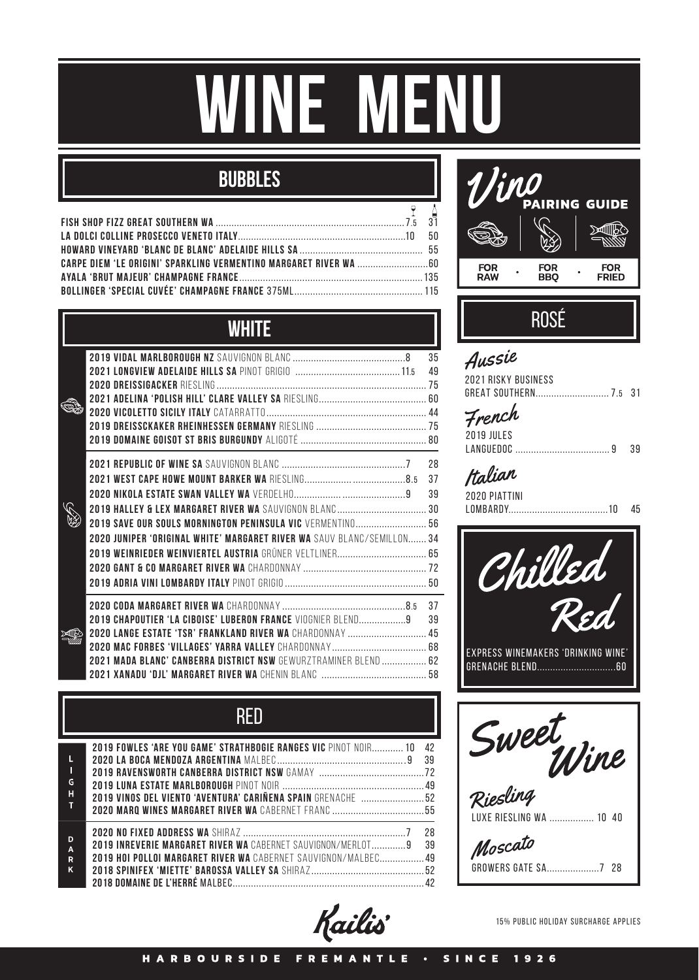# **winE MENU**

## **bubbles**

### **WHITE**

|                                                                                                                                                                                                    | 35<br>49       |
|----------------------------------------------------------------------------------------------------------------------------------------------------------------------------------------------------|----------------|
| 2019 SAVE OUR SOULS MORNINGTON PENINSULA VIC VERMENTINO 56<br>2020 JUNIPER 'ORIGINAL WHITE' MARGARET RIVER WA SAUV BLANC/SEMILLON  34                                                              | 28<br>37<br>39 |
| <b>2019 CHAPOUTIER 'LA CIBOISE' LUBERON FRANCE VIOGNIER BLEND9</b><br>2020 LANGE ESTATE 'TSR' FRANKLAND RIVER WA CHARDONNAY  45<br>2021 MADA BLANC' CANBERRA DISTRICT NSW GEWURZTRAMINER BLEND  62 | 37<br>39       |

| G<br>н                        | <b>2019 FOWLES 'ARE YOU GAME' STRATHBOGIE RANGES VIC</b> PINOT NOIR 10<br>2019 VINOS DEL VIENTO 'AVENTURA' CARIÑENA SPAIN GRENACHE  52 | 42<br>39<br>-72 |
|-------------------------------|----------------------------------------------------------------------------------------------------------------------------------------|-----------------|
| D<br>$\overline{A}$<br>R<br>K | <b>2019 INREVERIE MARGARET RIVER WA</b> CABERNET SAUVIGNON/MERLOT9 39<br>2019 HOI POLLOI MARGARET RIVER WA CABERNET SAUVIGNON/MALBEC49 | 28<br>$\Delta$  |



## ROSé

| Aussie                |  |
|-----------------------|--|
| 2021 RISKY BUSINFSS   |  |
| GREAT SOUTHERN 7.5 31 |  |

| 2019 JULES |     |
|------------|-----|
|            | -39 |

2020 Piattini lombardy......................................10 45





Moscato Growers gate SA....................7 28

Kailis

15% public holiday surcharge applies